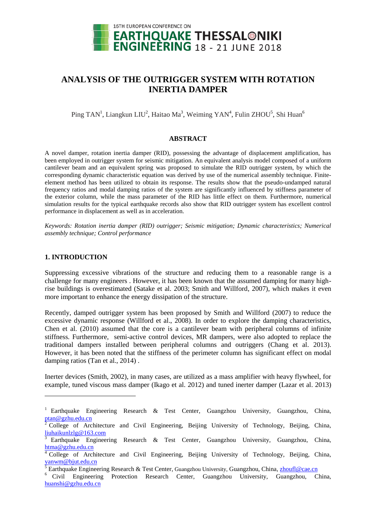

# **ANALYSIS OF THE OUTRIGGER SYSTEM WITH ROTATION INERTIA DAMPER**

Ping TAN<sup>1</sup>, Liangkun LIU<sup>2</sup>, Haitao Ma<sup>3</sup>, Weiming YAN<sup>4</sup>, Fulin ZHOU<sup>5</sup>, Shi Huan<sup>6</sup>

### **ABSTRACT**

A novel damper, rotation inertia damper (RID), possessing the advantage of displacement amplification, has been employed in outrigger system for seismic mitigation. An equivalent analysis model composed of a uniform cantilever beam and an equivalent spring was proposed to simulate the RID outrigger system, by which the corresponding dynamic characteristic equation was derived by use of the numerical assembly technique. Finiteelement method has been utilized to obtain its response. The results show that the pseudo-undamped natural frequency ratios and modal damping ratios of the system are significantly influenced by stiffness parameter of the exterior column, while the mass parameter of the RID has little effect on them. Furthermore, numerical simulation results for the typical earthquake records also show that RID outrigger system has excellent control performance in displacement as well as in acceleration.

*Keywords: Rotation inertia damper (RID) outrigger; Seismic mitigation; Dynamic characteristics; Numerical assembly technique; Control performance*

# **1. INTRODUCTION**

l

Suppressing excessive vibrations of the structure and reducing them to a reasonable range is a challenge for many engineers . However, it has been known that the assumed damping for many highrise buildings is overestimated (Satake et al. 2003; Smith and Willford, 2007), which makes it even more important to enhance the energy dissipation of the structure.

Recently, damped outrigger system has been proposed by Smith and Willford (2007) to reduce the excessive dynamic response (Willford et al., 2008). In order to explore the damping characteristics, Chen et al. (2010) assumed that the core is a cantilever beam with peripheral columns of infinite stiffness. Furthermore, semi-active control devices, MR dampers, were also adopted to replace the traditional dampers installed between peripheral columns and outriggers (Chang et al. 2013). However, it has been noted that the stiffness of the perimeter column has significant effect on modal damping ratios (Tan et al., 2014) .

Inerter devices (Smith, 2002), in many cases, are utilized as a mass amplifier with heavy flywheel, for example, tuned viscous mass damper (Ikago et al. 2012) and tuned inerter damper (Lazar et al. 2013)

<sup>&</sup>lt;sup>1</sup> Earthquake Engineering Research & Test Center, Guangzhou University, Guangzhou, China, [ptan@gzhu.edu.cn](mailto:ptan@gzhu.edu.cn)

<sup>2</sup> College of Architecture and Civil Engineering, Beijing University of Technology, Beijing, China, [liuhaikunlzlg@163.com](mailto:liuhaikunlzlg@163.com)

<sup>3</sup> Earthquake Engineering Research & Test Center, Guangzhou University, Guangzhou, China, [htma@gzhu.edu.cn](mailto:htma@gzhu.edu.cn)

<sup>4</sup> College of Architecture and Civil Engineering, Beijing University of Technology, Beijing, China, [yanwm@bjut.edu.cn](mailto:yanwm@bjut.edu.cn)

**Earthquake Engineering Research & Test Center, Guangzhou University, Guangzhou, China,** *[zhoufl@cae.cn](mailto:zhoufl@cae.cn)* 

<sup>6</sup> Civil Engineering Protection Research Center, Guangzhou University, Guangzhou, China, [huanshi@gzhu.edu.cn](mailto:huanshi@gzhu.edu.cn)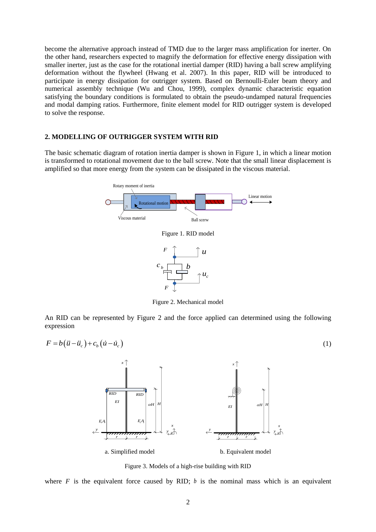become the alternative approach instead of TMD due to the larger mass amplification for inerter. On the other hand, researchers expected to magnify the deformation for effective energy dissipation with smaller inerter, just as the case for the rotational inertial damper (RID) having a ball screw amplifying deformation without the flywheel (Hwang et al. 2007). In this paper, RID will be introduced to participate in energy dissipation for outrigger system. Based on Bernoulli-Euler beam theory and numerical assembly technique (Wu and Chou, 1999), complex dynamic characteristic equation satisfying the boundary conditions is formulated to obtain the pseudo-undamped natural frequencies and modal damping ratios. Furthermore, finite element model for RID outrigger system is developed to solve the response.

## **2. MODELLING OF OUTRIGGER SYSTEM WITH RID**

The basic schematic diagram of rotation inertia damper is shown in Figure 1, in which a linear motion is transformed to rotational movement due to the ball screw. Note that the small linear displacement is amplified so that more energy from the system can be dissipated in the viscous material.



Figure 2. Mechanical model

An RID can be represented by Figure 2 and the force applied can determined using the following expression

$$
F = b(\ddot{u} - \ddot{u}_c) + c_b(\dot{u} - \dot{u}_c)
$$
\n
$$
\uparrow \qquad \qquad \uparrow \qquad \qquad \uparrow \qquad \qquad \uparrow \qquad \qquad \uparrow
$$



Figure 3. Models of a high-rise building with RID

where  $F$  is the equivalent force caused by RID;  $b$  is the nominal mass which is an equivalent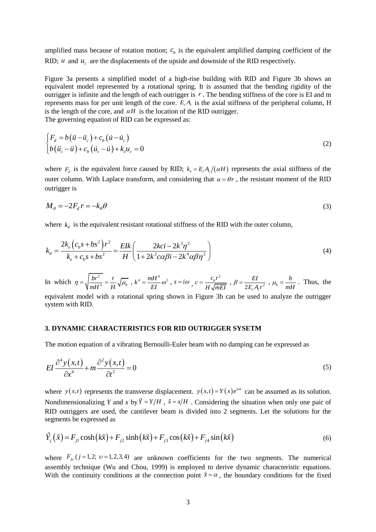amplified mass because of rotation motion;  $c<sub>b</sub>$  is the equivalent amplified damping coefficient of the RID;  $u$  and  $u_c$  are the displacements of the upside and downside of the RID respectively.

Figure 3a presents a simplified model of a high-rise building with RID and Figure 3b shows an equivalent model represented by a rotational spring. It is assumed that the bending rigidity of the outrigger is infinite and the length of each outrigger is *r* . The bending stiffness of the core is EI and m represents mass for per unit length of the core.  $E_c A_c$  is the axial stiffness of the peripheral column, H is the length of the core, and  $\alpha H$  is the location of the RID outrigger. The governing equation of RID can be expressed as:

$$
\begin{cases}\nF_d = b(\ddot{u} - \ddot{u}_c) + c_b(\dot{u} - \dot{u}_c) \\
b(\ddot{u}_c - \ddot{u}) + c_b(\dot{u}_c - \dot{u}) + k_e u_c = 0\n\end{cases}
$$
\n(2)

where  $F_d$  is the equivalent force caused by RID;  $k_e = E_c A_c/(\alpha H)$  represents the axial stiffness of the outer column. With Laplace transform, and considering that  $u = \theta r$ , the resistant moment of the RID outrigger is

$$
M_{\theta} = -2F_d r = -k_{\theta}\theta
$$
\n(3)

where 
$$
k_{\theta}
$$
 is the equivalent resistant rotational stiffness of the RID with the outer column,  
\n
$$
k_{\theta} = \frac{2k_e \left(c_b s + bs^2\right) r^2}{k_e + c_b s + bs^2} = \frac{E I k}{H} \left(\frac{2kci - 2k^3 \eta^2}{1 + 2k^2 c \alpha \beta i - 2k^4 \alpha \beta \eta^2}\right)
$$
\n(4)

In which  $\eta = \sqrt{\frac{br^2}{a}}$  $_3$  –  $_{\mathbf{u}}$   $\vee$   $\mu_b$  $br^2$  *r*  $\eta = \sqrt{\frac{br^2}{mH^3}} = \frac{r}{H}\sqrt{\mu_b}$ ,  $k^4 = \frac{mH^4}{EI}\omega^2$ ,  $s = i\omega$ ,  $c = \frac{c_b r^2}{H\sqrt{m}}$ *H mEI*  $=\frac{c_b r}{H\sqrt{mEI}}$ ,  $\beta = \frac{EI}{2E_c A_c r^2}$ *EI*  $\beta = \frac{E I}{2 E_c A_c r^2}$ ,  $\mu_b$ *b*  $\mu_b = \frac{b}{mH}$ . Thus, the

equivalent model with a rotational spring shown in Figure 3b can be used to analyze the outrigger system with RID.

# **3. DYNAMIC CHARACTERISTICS FOR RID OUTRIGGER SYSETM**

The motion equation of a vibrating Bernoulli-Euler beam with no damping can be expressed as

$$
EI\frac{\partial^4 y(x,t)}{\partial x^4} + m\frac{\partial^2 y(x,t)}{\partial t^2} = 0
$$
\n(5)

where  $y(x,t)$  represents the transverse displacement.  $y(x,t) = Y(x)e^{i\omega t}$  can be assumed as its solution. Nondimensionalizing *Y* and *x* by  $\tilde{Y} = Y/H$ ,  $\tilde{x} = x/H$ . Considering the situation when only one pair of RID outriggers are used, the cantilever beam is divided into 2 segments. Let the solutions for the segments be expressed as

segments be expressed as  
\n
$$
\tilde{Y}_j(\tilde{x}) = F_{j1} \cosh(k\tilde{x}) + F_{j2} \sinh(k\tilde{x}) + F_{j3} \cos(k\tilde{x}) + F_{j4} \sin(k\tilde{x})
$$
\n(6)

where  $F_{i\nu}$  ( $j = 1, 2; \nu = 1, 2, 3, 4$ ) are unknown coefficients for the two segments. The numerical assembly technique (Wu and Chou, 1999) is employed to derive dynamic characteristic equations. With the continuity conditions at the connection point  $\tilde{x} = \alpha$ , the boundary conditions for the fixed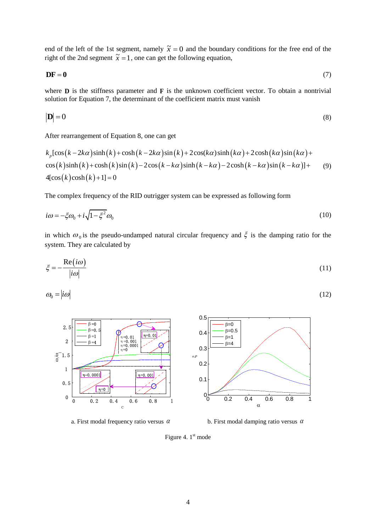end of the left of the 1st segment, namely  $\tilde{x} = 0$  and the boundary conditions for the free end of the right of the 2nd segment  $\tilde{x} = 1$ , one can get the following equation,

 $DF = 0$ (7)

where  $\bf{D}$  is the stiffness parameter and  $\bf{F}$  is the unknown coefficient vector. To obtain a nontrivial solution for Equation 7, the determinant of the coefficient matrix must vanish

$$
|\mathbf{D}| = 0 \tag{8}
$$

After rearrangement of Equation 8, one can get

After rearrangement of Equation 8, one can get  
\n
$$
k_p[\cos(k-2k\alpha)\sinh(k)+\cosh(k-2k\alpha)\sin(k)+2\cos(k\alpha)\sinh(k\alpha)+2\cosh(k\alpha)\sin(k\alpha)+\cos(k)\sinh(k)+\cosh(k)\sin(k)-2\cos(k-k\alpha)\sinh(k-k\alpha)-2\cosh(k-k\alpha)\sin(k-k\alpha)]+
$$
\n(9)  
\n4 $[\cos(k)\cosh(k)+1]=0$ 

The complex frequency of the RID outrigger system can be expressed as following form

$$
i\omega = -\xi\omega_0 + i\sqrt{1 - \xi^2}\omega_0\tag{10}
$$

in which  $\omega_0$  is the pseudo-undamped natural circular frequency and  $\xi$  is the damping ratio for the system. They are calculated by

$$
\xi = -\frac{\text{Re}(i\omega)}{|i\omega|} \tag{11}
$$

$$
\omega_0 = |i\omega| \tag{12}
$$



a. First modal frequency ratio versus  $\alpha$ 

b. First modal damping ratio versus  $\alpha$ 

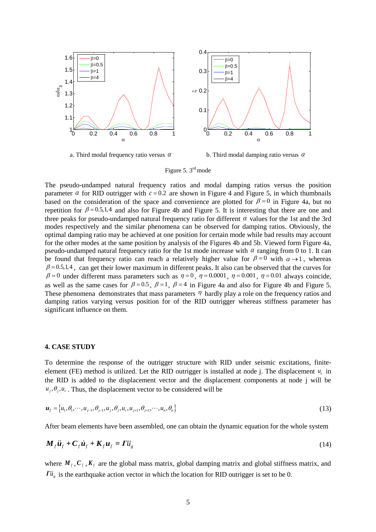

a. Third modal frequency ratio versus  $\alpha$ 

b. Third modal damping ratio versus  $\alpha$ 

Figure 5. 3<sup>rd</sup> mode

The pseudo-undamped natural frequency ratios and modal damping ratios versus the position parameter  $\alpha$  for RID outrigger with  $c = 0.2$  are shown in Figure 4 and Figure 5, in which thumbnails based on the consideration of the space and convenience are plotted for  $\beta = 0$  in Figure 4a, but no repetition for  $\beta = 0.5, 1, 4$  and also for Figure 4b and Figure 5. It is interesting that there are one and three peaks for pseudo-undamped natural frequency ratio for different  $\alpha$  values for the 1st and the 3rd modes respectively and the similar phenomena can be observed for damping ratios. Obviously, the optimal damping ratio may be achieved at one position for certain mode while bad results may account for the other modes at the same position by analysis of the Figures 4b and 5b. Viewed form Figure 4a, pseudo-undamped natural frequency ratio for the 1st mode increase with  $\alpha$  ranging from 0 to 1. It can be found that frequency ratio can reach a relatively higher value for  $\beta = 0$  with  $\alpha \rightarrow 1$ , whereas  $\beta$  = 0.5,1,4, can get their lower maximum in different peaks. It also can be observed that the curves for  $\beta = 0$  under different mass parameters such as  $\eta = 0$ ,  $\eta = 0.0001$ ,  $\eta = 0.001$ ,  $\eta = 0.01$  always coincide, as well as the same cases for  $\beta = 0.5$ ,  $\beta = 1$ ,  $\beta = 4$  in Figure 4a and also for Figure 4b and Figure 5. These phenomena demonstrates that mass parameters  $\eta$  hardly play a role on the frequency ratios and damping ratios varying versus position for of the RID outrigger whereas stiffness parameter has significant influence on them.

#### **4. CASE STUDY**

To determine the response of the outrigger structure with RID under seismic excitations, finiteelement (FE) method is utilized. Let the RID outrigger is installed at node j. The displacement  $u_c$  in the RID is added to the displacement vector and the displacement components at node j will be  $u_i$ ,  $\theta_i$ ,  $u_c$ . Thus, the displacement vector to be considered will be

$$
u_{f} = \{u_{1}, \theta_{1}, \dots, u_{j-1}, \theta_{j-1}, u_{j}, \theta_{j}, u_{c}, u_{j+1}, \theta_{j+1}, \dots, u_{n}, \theta_{n}\}\
$$
\n(13)

After beam elements have been assembled, one can obtain the dynamic equation for the whole system

$$
\mathbf{M}_f \ddot{\mathbf{u}}_f + \mathbf{C}_f \dot{\mathbf{u}}_f + \mathbf{K}_f \mathbf{u}_f = \mathbf{\Gamma} \ddot{\mathbf{u}}_g \tag{14}
$$

where  $M_f$ ,  $C_f$ ,  $K_f$  are the global mass matrix, global damping matrix and global stiffness matrix, and  $\overline{I} u_g$  is the earthquake action vector in which the location for RID outrigger is set to be 0.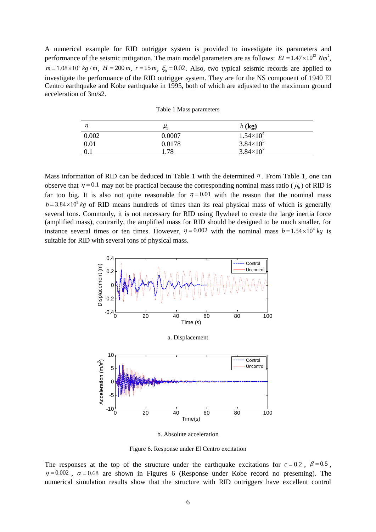A numerical example for RID outrigger system is provided to investigate its parameters and performance of the seismic mitigation. The main model parameters are as follows:  $EI = 1.47 \times 10^{13}$  Nm<sup>2</sup>,  $m = 1.08 \times 10^5$  kg /m,  $H = 200$  m,  $r = 15$  m,  $\xi_0 = 0.02$ . Also, two typical seismic records are applied to investigate the performance of the RID outrigger system. They are for the NS component of 1940 El Centro earthquake and Kobe earthquake in 1995, both of which are adjusted to the maximum ground acceleration of 3m/s2.

| n     | $\mu_{\scriptscriptstyle h}$ | $b$ (kg)             |  |
|-------|------------------------------|----------------------|--|
| 0.002 | 0.0007                       | $1.54\times10^{4}$   |  |
| 0.01  | 0.0178                       | $3.84 \times 10^5$   |  |
| 0.1   | 1.78                         | $3.84 \times 10^{7}$ |  |

Table 1 Mass parameters

Mass information of RID can be deduced in Table 1 with the determined  $\eta$ . From Table 1, one can observe that  $\eta = 0.1$  may not be practical because the corresponding nominal mass ratio ( $\mu_b$ ) of RID is far too big. It is also not quite reasonable for  $\eta = 0.01$  with the reason that the nominal mass  $b = 3.84 \times 10^5$  kg of RID means hundreds of times than its real physical mass of which is generally several tons. Commonly, it is not necessary for RID using flywheel to create the large inertia force (amplified mass), contrarily, the amplified mass for RID should be designed to be much smaller, for instance several times or ten times. However,  $\eta = 0.002$  with the nominal mass  $b = 1.54 \times 10^4$  kg is suitable for RID with several tons of physical mass.



b. Absolute acceleration

Figure 6. Response under El Centro excitation

The responses at the top of the structure under the earthquake excitations for  $c = 0.2$ ,  $\beta = 0.5$ ,  $\eta = 0.002$ ,  $\alpha = 0.68$  are shown in Figures 6 (Response under Kobe record no presenting). The numerical simulation results show that the structure with RID outriggers have excellent control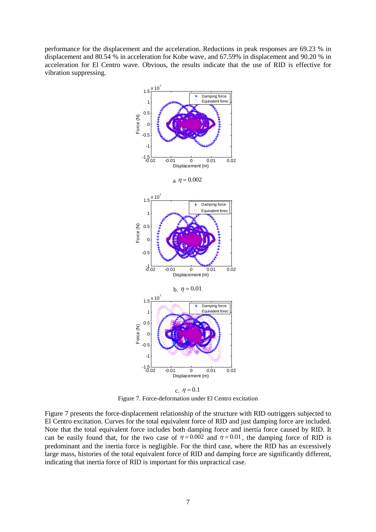performance for the displacement and the acceleration. Reductions in peak responses are 69.23 % in displacement and 80.54 % in acceleration for Kobe wave, and 67.59% in displacement and 90.20 % in acceleration for El Centro wave. Obvious, the results indicate that the use of RID is effective for vibration suppressing.



Figure 7. Force-deformation under El Centro excitation

Figure 7 presents the force-displacement relationship of the structure with RID outriggers subjected to El Centro excitation. Curves for the total equivalent force of RID and just damping force are included. Note that the total equivalent force includes both damping force and inertia force caused by RID. It can be easily found that, for the two case of  $\eta = 0.002$  and  $\eta = 0.01$ , the damping force of RID is predominant and the inertia force is negligible. For the third case, where the RID has an excessively large mass, histories of the total equivalent force of RID and damping force are significantly different, indicating that inertia force of RID is important for this unpractical case.